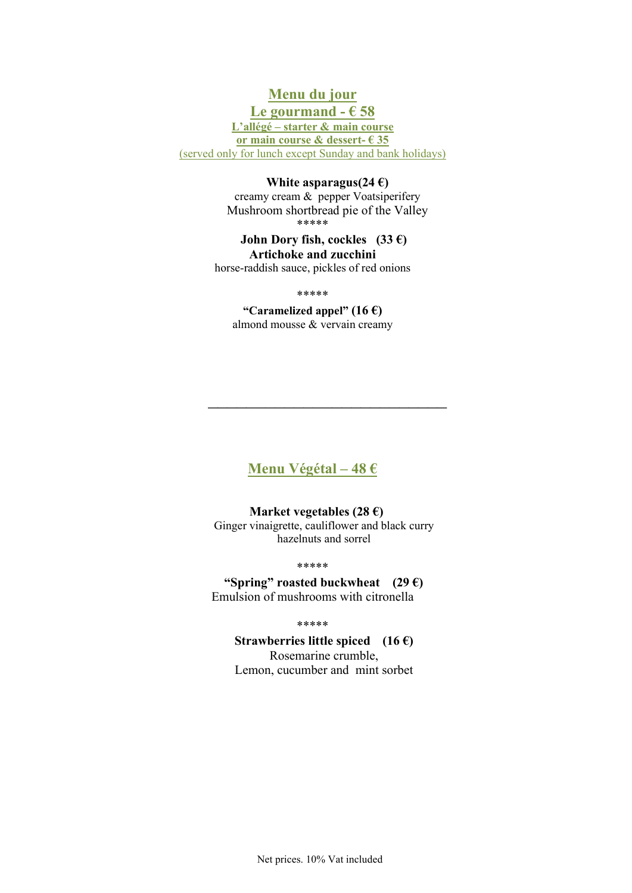## Menu du jour

Le gourmand  $-658$ L'allégé – starter & main course or main course & dessert- $635$ (served only for lunch except Sunday and bank holidays)

#### White asparagus(24 $\epsilon$ )

creamy cream & pepper Voatsiperifery Mushroom shortbread pie of the Valley \*\*\*\*\*

John Dory fish, cockles  $(33 \epsilon)$ Artichoke and zucchini horse-raddish sauce, pickles of red onions

\*\*\*\*\*

"Caramelized appel" (16  $\epsilon$ ) almond mousse & vervain creamy

Menu Végétal – 48  $\epsilon$ 

 $\mathcal{L}_\text{max}$  , where  $\mathcal{L}_\text{max}$  , we have the set of  $\mathcal{L}_\text{max}$ 

### Market vegetables (28 $\epsilon$ ) Ginger vinaigrette, cauliflower and black curry hazelnuts and sorrel

\*\*\*\*\*

"Spring" roasted buckwheat  $(29 \epsilon)$ Emulsion of mushrooms with citronella

\*\*\*\*\*

## Strawberries little spiced  $(16 \epsilon)$

Rosemarine crumble, Lemon, cucumber and mint sorbet